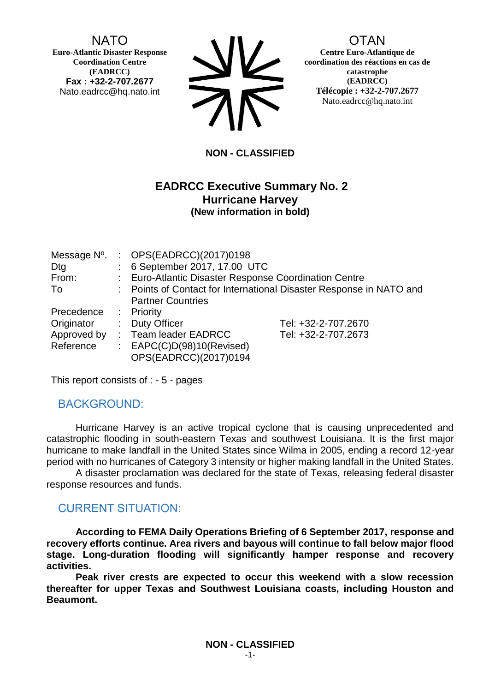NATO

**Euro-Atlantic Disaster Response Coordination Centre (EADRCC) Fax : +32-2-707.2677** Nato.eadrcc@hq.nato.int



# **OTAN**

**Centre Euro-Atlantique de coordination des réactions en cas de catastrophe (EADRCC) Télécopie : +32-2-707.2677** Nato.eadrcc@hq.nato.int

#### **NON - CLASSIFIED**

## **EADRCC Executive Summary No. 2 Hurricane Harvey (New information in bold)**

| Message N°.<br>Dtg |                                                                     | : OPS(EADRCC)(2017)0198<br>: 6 September 2017, 17.00 UTC |                     |  |
|--------------------|---------------------------------------------------------------------|----------------------------------------------------------|---------------------|--|
| From:              |                                                                     | : Euro-Atlantic Disaster Response Coordination Centre    |                     |  |
| To                 | : Points of Contact for International Disaster Response in NATO and |                                                          |                     |  |
|                    |                                                                     | <b>Partner Countries</b>                                 |                     |  |
| Precedence         |                                                                     | : Priority                                               |                     |  |
| Originator         |                                                                     | : Duty Officer                                           | Tel: +32-2-707.2670 |  |
| Approved by        |                                                                     | : Team leader EADRCC                                     | Tel: +32-2-707.2673 |  |
| Reference          |                                                                     | : $EAPC(C)D(98)10(Revised)$                              |                     |  |
|                    |                                                                     | OPS(EADRCC)(2017)0194                                    |                     |  |

This report consists of : - 5 - pages

## BACKGROUND:

Hurricane Harvey is an active tropical cyclone that is causing unprecedented and catastrophic flooding in south-eastern Texas and southwest Louisiana. It is the first major hurricane to make landfall in the United States since Wilma in 2005, ending a record 12-year period with no hurricanes of Category 3 intensity or higher making landfall in the United States.

A disaster proclamation was declared for the state of Texas, releasing federal disaster response resources and funds.

# CURRENT SITUATION:

**According to FEMA Daily Operations Briefing of 6 September 2017, response and recovery efforts continue. Area rivers and bayous will continue to fall below major flood stage. Long-duration flooding will significantly hamper response and recovery activities.**

**Peak river crests are expected to occur this weekend with a slow recession thereafter for upper Texas and Southwest Louisiana coasts, including Houston and Beaumont.**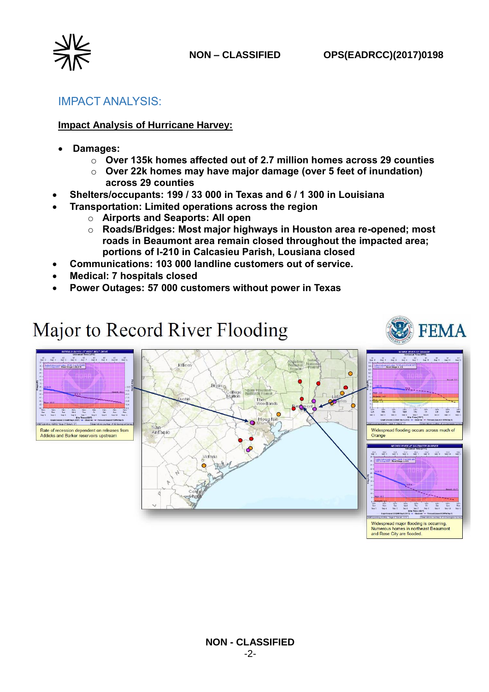



## IMPACT ANALYSIS:

#### **Impact Analysis of Hurricane Harvey:**

- **Damages:** 
	- o **Over 135k homes affected out of 2.7 million homes across 29 counties**
	- o **Over 22k homes may have major damage (over 5 feet of inundation) across 29 counties**
- **Shelters/occupants: 199 / 33 000 in Texas and 6 / 1 300 in Louisiana**
- **Transportation: Limited operations across the region**
	- o **Airports and Seaports: All open**
	- o **Roads/Bridges: Most major highways in Houston area re-opened; most roads in Beaumont area remain closed throughout the impacted area; portions of I-210 in Calcasieu Parish, Lousiana closed**
- **Communications: 103 000 landline customers out of service.**
- **Medical: 7 hospitals closed**
- **Power Outages: 57 000 customers without power in Texas**

# Major to Record River Flooding



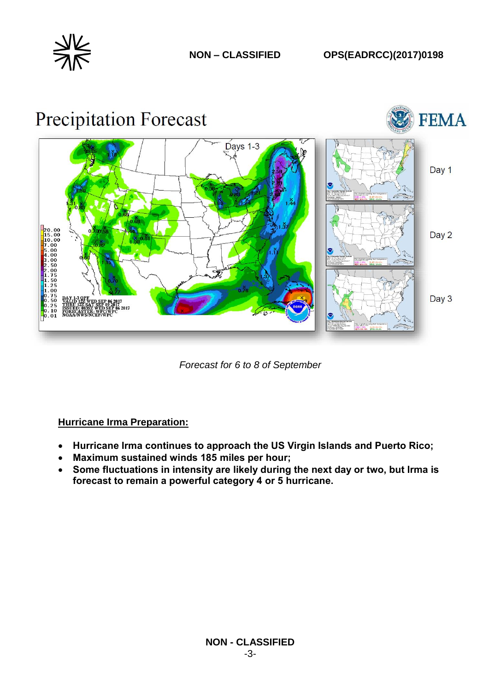





*Forecast for 6 to 8 of September*

#### **Hurricane Irma Preparation:**

- **Hurricane Irma continues to approach the US Virgin Islands and Puerto Rico;**
- **Maximum sustained winds 185 miles per hour;**
- **Some fluctuations in intensity are likely during the next day or two, but Irma is forecast to remain a powerful category 4 or 5 hurricane.**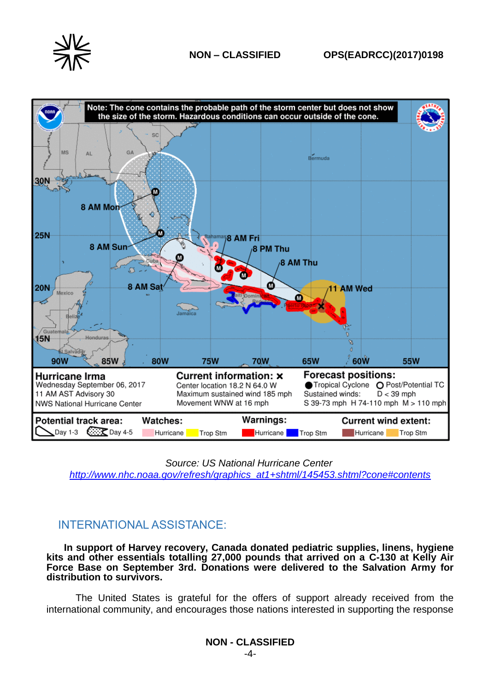



*Source: US National Hurricane Center*

*[http://www.nhc.noaa.gov/refresh/graphics\\_at1+shtml/145453.shtml?cone#contents](http://www.nhc.noaa.gov/refresh/graphics_at1+shtml/145453.shtml?cone#contents)*

## INTERNATIONAL ASSISTANCE:

**In support of Harvey recovery, Canada donated pediatric supplies, linens, hygiene kits and other essentials totalling 27,000 pounds that arrived on a C-130 at Kelly Air Force Base on September 3rd. Donations were delivered to the Salvation Army for distribution to survivors.**

The United States is grateful for the offers of support already received from the international community, and encourages those nations interested in supporting the response